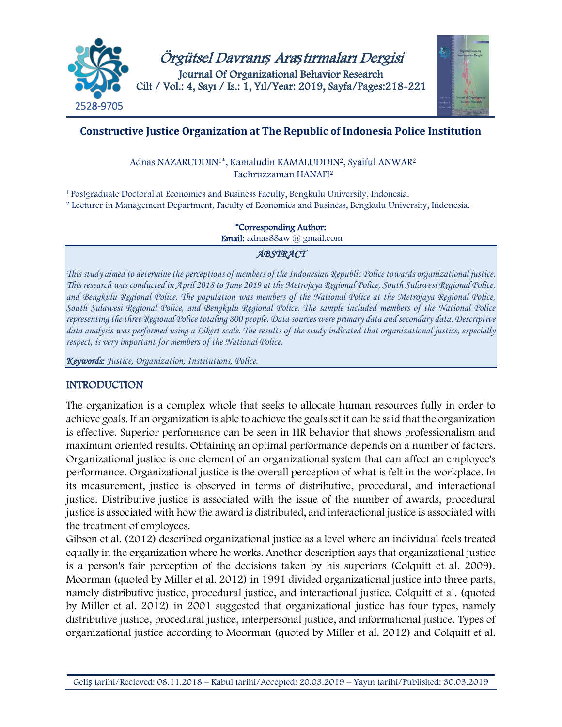



# **Constructive Justice Organization at The Republic of Indonesia Police Institution**

Adnas NAZARUDDIN1\*, Kamaludin KAMALUDDIN2, Syaiful ANWAR<sup>2</sup> Fachruzzaman HANAFI<sup>2</sup>

<sup>1</sup>Postgraduate Doctoral at Economics and Business Faculty, Bengkulu University, Indonesia. <sup>2</sup> Lecturer in Management Department, Faculty of Economics and Business, Bengkulu University, Indonesia.

#### \*Corresponding Author:

Email: adnas88aw @ gmail.com

### *ABSTRACT*

*This study aimed to determine the perceptions of members of the Indonesian Republic Police towards organizational justice. This research was conducted in April 2018 to June 2019 at the Metrojaya Regional Police, South Sulawesi Regional Police, and Bengkulu Regional Police. The population was members of the National Police at the Metrojaya Regional Police, South Sulawesi Regional Police, and Bengkulu Regional Police. The sample included members of the National Police representing the three Regional Police totaling 800 people. Data sources were primary data and secondary data. Descriptive data analysis was performed using a Likert scale. The results of the study indicated that organizational justice, especially respect, is very important for members of the National Police.*

*Keywords: Justice, Organization, Institutions, Police.*

# **INTRODUCTION**

The organization is a complex whole that seeks to allocate human resources fully in order to achieve goals. If an organization is able to achieve the goals set it can be said that the organization is effective. Superior performance can be seen in HR behavior that shows professionalism and maximum oriented results. Obtaining an optimal performance depends on a number of factors. Organizational justice is one element of an organizational system that can affect an employee's performance. Organizational justice is the overall perception of what is felt in the workplace. In its measurement, justice is observed in terms of distributive, procedural, and interactional justice. Distributive justice is associated with the issue of the number of awards, procedural justice is associated with how the award is distributed, and interactional justice is associated with the treatment of employees.

Gibson et al. (2012) described organizational justice as a level where an individual feels treated equally in the organization where he works. Another description says that organizational justice is a person's fair perception of the decisions taken by his superiors (Colquitt et al. 2009). Moorman (quoted by Miller et al. 2012) in 1991 divided organizational justice into three parts, namely distributive justice, procedural justice, and interactional justice. Colquitt et al. (quoted by Miller et al. 2012) in 2001 suggested that organizational justice has four types, namely distributive justice, procedural justice, interpersonal justice, and informational justice. Types of organizational justice according to Moorman (quoted by Miller et al. 2012) and Colquitt et al.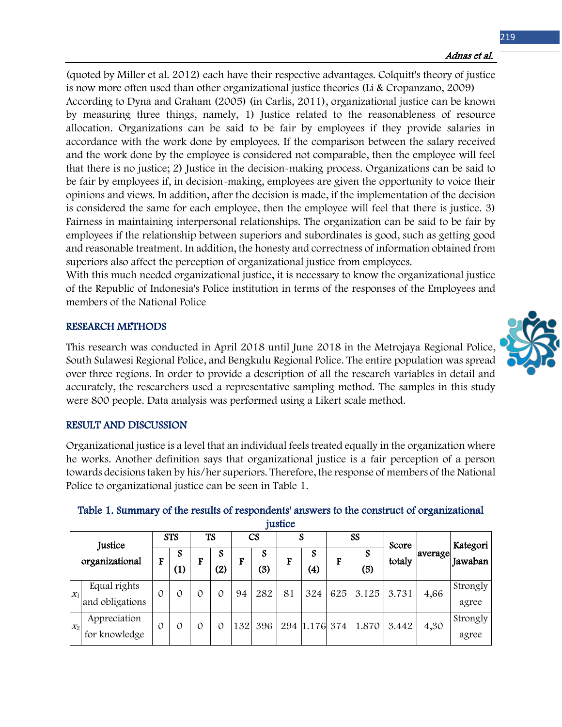(quoted by Miller et al. 2012) each have their respective advantages. Colquitt's theory of justice is now more often used than other organizational justice theories (Li & Cropanzano, 2009) According to Dyna and Graham (2005) (in Carlis, 2011), organizational justice can be known by measuring three things, namely, 1) Justice related to the reasonableness of resource allocation. Organizations can be said to be fair by employees if they provide salaries in accordance with the work done by employees. If the comparison between the salary received and the work done by the employee is considered not comparable, then the employee will feel that there is no justice; 2) Justice in the decision-making process. Organizations can be said to be fair by employees if, in decision-making, employees are given the opportunity to voice their opinions and views. In addition, after the decision is made, if the implementation of the decision is considered the same for each employee, then the employee will feel that there is justice. 3) Fairness in maintaining interpersonal relationships. The organization can be said to be fair by employees if the relationship between superiors and subordinates is good, such as getting good and reasonable treatment. In addition, the honesty and correctness of information obtained from superiors also affect the perception of organizational justice from employees.

With this much needed organizational justice, it is necessary to know the organizational justice of the Republic of Indonesia's Police institution in terms of the responses of the Employees and members of the National Police

### RESEARCH METHODS

This research was conducted in April 2018 until June 2018 in the Metrojaya Regional Police, South Sulawesi Regional Police, and Bengkulu Regional Police. The entire population was spread over three regions. In order to provide a description of all the research variables in detail and accurately, the researchers used a representative sampling method. The samples in this study were 800 people. Data analysis was performed using a Likert scale method.

#### RESULT AND DISCUSSION

Organizational justice is a level that an individual feels treated equally in the organization where he works. Another definition says that organizational justice is a fair perception of a person towards decisions taken by his/her superiors. Therefore, the response of members of the National Police to organizational justice can be seen in Table 1.

|                |                                 |   |            |   |                     |     |                 | <i><u>rustice</u></i> |                        |     |       |        |         |                   |
|----------------|---------------------------------|---|------------|---|---------------------|-----|-----------------|-----------------------|------------------------|-----|-------|--------|---------|-------------------|
|                | Justice                         |   | <b>STS</b> |   | TS                  |     | CS              |                       | N                      |     | SS    | Score  |         | Kategori          |
| organizational |                                 | F | S<br>(1)   | F | <sub>S</sub><br>(2) | F   | <b>S</b><br>(3) | г                     | S<br>$\left( 4\right)$ | F   | (5)   | totaly | average | Jawaban           |
| $X_1$          | Equal rights<br>and obligations | 0 | 0          |   | 0                   | 94  | 282             | 81                    | 324                    | 625 | 3.125 | 3.731  | 4,66    | Strongly<br>agree |
| $X_2$          | Appreciation<br>for knowledge   | 0 | 0          |   | 0                   | 132 | 396             |                       | 294 1.176 374          |     | 1.870 | 3.442  | 4,30    | Strongly<br>agree |

#### Table 1. Summary of the results of respondents' answers to the construct of organizational justice

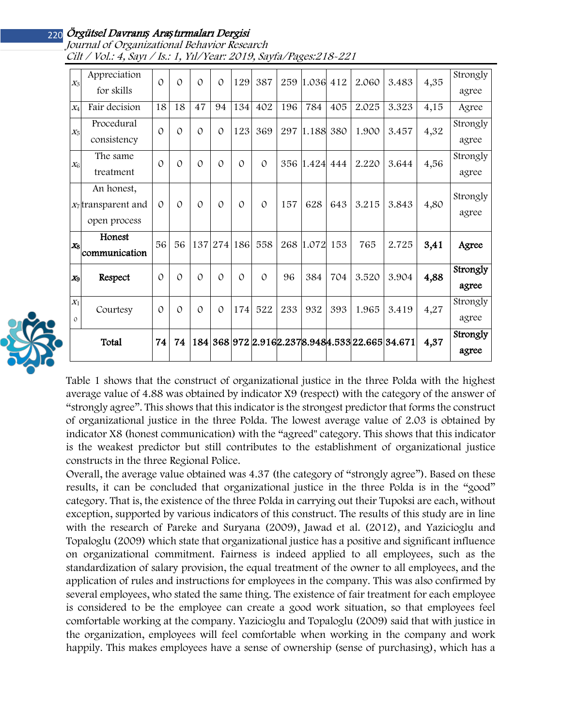# Örgütsel Davranı*ş* Ara*ş*<sup>t</sup>ırmaları Dergisi 220

| $X_3$          | Appreciation<br>for skills | $\mathcal{O}$        | $\Omega$      | $\Omega$ | $\Omega$ | 129         | 387           |     | 259 1.036 412 |     | 2.060                                         | 3.483 | 4,35 | Strongly |
|----------------|----------------------------|----------------------|---------------|----------|----------|-------------|---------------|-----|---------------|-----|-----------------------------------------------|-------|------|----------|
|                |                            |                      |               |          |          |             |               |     |               |     |                                               |       |      | agree    |
| $X_4$          | Fair decision              | 18                   | 18            | 47       | 94       | 134         | 402           | 196 | 784           | 405 | 2.025                                         | 3.323 | 4,15 | Agree    |
| $X_5$          | Procedural                 | $\mathcal{O}$        | 0             | $\Omega$ | $\Omega$ | 123         | 369           |     | 297 1.188 380 |     | 1.900                                         | 3.457 | 4,32 | Strongly |
| $X_6$          | consistency                | The same<br>$\Omega$ |               | $\Omega$ | $\Omega$ | $\Omega$    | $\mathcal{O}$ |     | 356 1.424 444 |     | 2.220                                         | 3.644 | 4,56 | agree    |
|                |                            |                      | $\Omega$      |          |          |             |               |     |               |     |                                               |       |      | Strongly |
|                | treatment                  |                      |               |          |          |             |               |     |               |     |                                               |       |      | agree    |
|                | An honest,                 |                      |               |          |          |             |               |     |               |     |                                               |       |      | Strongly |
|                | $x_7$ transparent and      | $\Omega$             | $\Omega$      | $\Omega$ | $\Omega$ | $\Omega$    | $\Omega$      | 157 | 628           | 643 | 3.215                                         | 3.843 | 4,80 | agree    |
|                | open process               |                      |               |          |          |             |               |     |               |     |                                               |       |      |          |
| $X_8$          | Honest                     | 56                   | 56            |          |          | 137 274 186 | 558           |     | 268 1.072 153 |     | 765                                           | 2.725 | 3,41 | Agree    |
|                | communication              |                      |               |          |          |             |               |     |               |     |                                               |       |      |          |
| X <sub>9</sub> | Respect                    | $\mathcal{O}$        | $\mathcal{O}$ | $\Omega$ | $\Omega$ | $\Omega$    | $\Omega$      | 96  | 384           | 704 | 3.520                                         | 3.904 | 4,88 | Strongly |
| $X_1$          | Courtesy                   | $\Omega$             | $\Omega$      | $\Omega$ | $\Omega$ | 174         | 522           | 233 | 932           | 393 | 1.965                                         | 3.419 | 4,27 | agree    |
|                |                            |                      |               |          |          |             |               |     |               |     |                                               |       |      | Strongly |
| $\Omega$       |                            |                      |               |          |          |             |               |     |               |     |                                               |       |      | agree    |
|                | Total                      | 74                   | 74            | 184      |          |             |               |     |               |     | 368 972 2.916 2.237 8.948 4.533 22.665 34.671 |       | 4,37 | Strongly |
|                |                            |                      |               |          |          |             |               |     |               |     |                                               |       |      | agree    |

Journal of Organizational Behavior Research Cilt / Vol.: 4, Sayı / Is.: 1, Yıl/Year: 2019, Sayfa/Pages:218-221



Table 1 shows that the construct of organizational justice in the three Polda with the highest average value of 4.88 was obtained by indicator X9 (respect) with the category of the answer of "strongly agree". This shows that this indicator is the strongest predictor that forms the construct of organizational justice in the three Polda. The lowest average value of 2.03 is obtained by indicator X8 (honest communication) with the "agreed" category. This shows that this indicator is the weakest predictor but still contributes to the establishment of organizational justice constructs in the three Regional Police.

Overall, the average value obtained was 4.37 (the category of "strongly agree"). Based on these results, it can be concluded that organizational justice in the three Polda is in the "good" category. That is, the existence of the three Polda in carrying out their Tupoksi are each, without exception, supported by various indicators of this construct. The results of this study are in line with the research of Pareke and Suryana (2009), Jawad et al. (2012), and Yazicioglu and Topaloglu (2009) which state that organizational justice has a positive and significant influence on organizational commitment. Fairness is indeed applied to all employees, such as the standardization of salary provision, the equal treatment of the owner to all employees, and the application of rules and instructions for employees in the company. This was also confirmed by several employees, who stated the same thing. The existence of fair treatment for each employee is considered to be the employee can create a good work situation, so that employees feel comfortable working at the company. Yazicioglu and Topaloglu (2009) said that with justice in the organization, employees will feel comfortable when working in the company and work happily. This makes employees have a sense of ownership (sense of purchasing), which has a